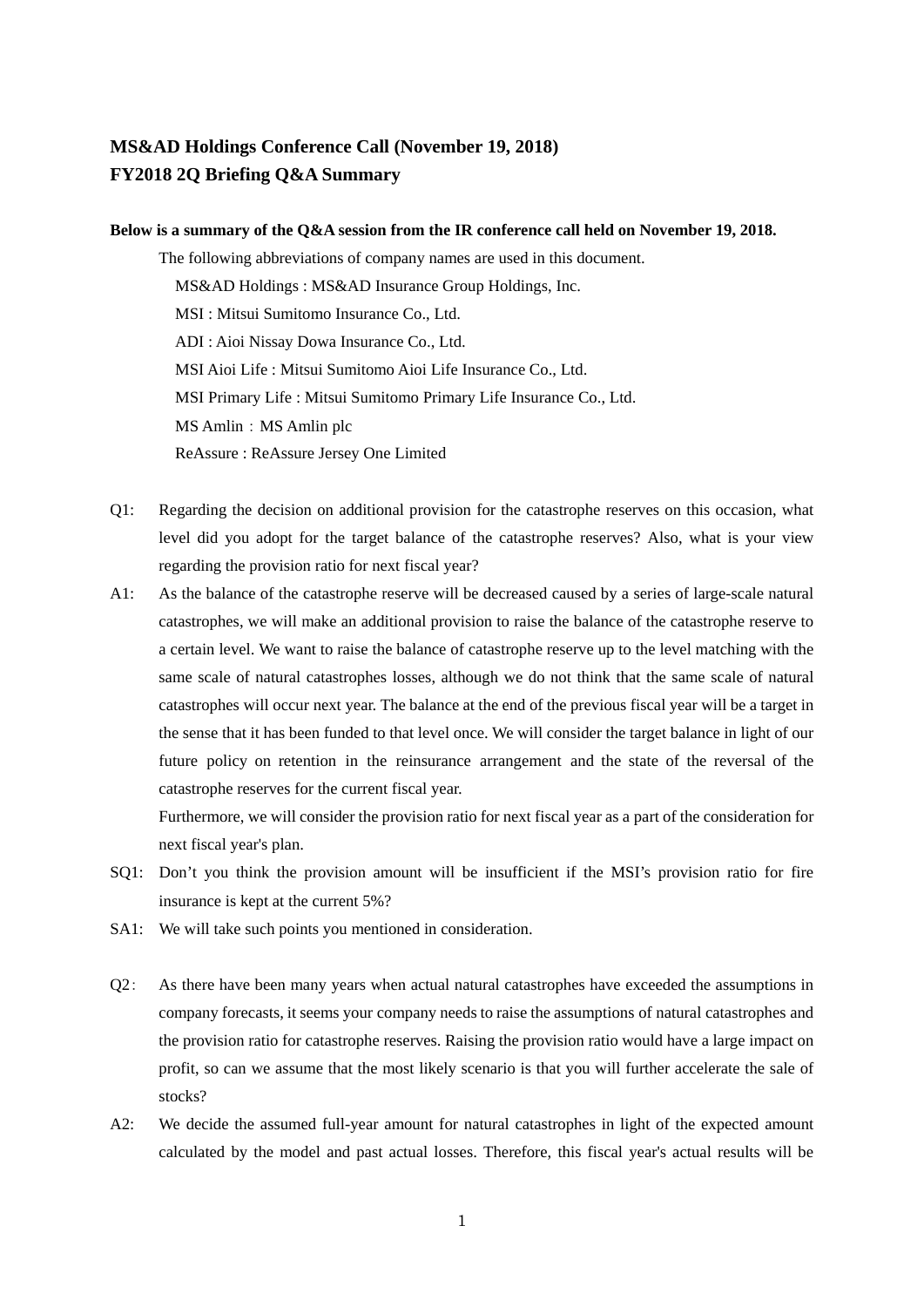## **MS&AD Holdings Conference Call (November 19, 2018) FY2018 2Q Briefing Q&A Summary**

## **Below is a summary of the Q&A session from the IR conference call held on November 19, 2018.**

The following abbreviations of company names are used in this document. MS&AD Holdings : MS&AD Insurance Group Holdings, Inc. MSI : Mitsui Sumitomo Insurance Co., Ltd. ADI : Aioi Nissay Dowa Insurance Co., Ltd. MSI Aioi Life : Mitsui Sumitomo Aioi Life Insurance Co., Ltd. MSI Primary Life : Mitsui Sumitomo Primary Life Insurance Co., Ltd. MS Amlin: MS Amlin plc ReAssure : ReAssure Jersey One Limited

- Q1: Regarding the decision on additional provision for the catastrophe reserves on this occasion, what level did you adopt for the target balance of the catastrophe reserves? Also, what is your view regarding the provision ratio for next fiscal year?
- A1: As the balance of the catastrophe reserve will be decreased caused by a series of large-scale natural catastrophes, we will make an additional provision to raise the balance of the catastrophe reserve to a certain level. We want to raise the balance of catastrophe reserve up to the level matching with the same scale of natural catastrophes losses, although we do not think that the same scale of natural catastrophes will occur next year. The balance at the end of the previous fiscal year will be a target in the sense that it has been funded to that level once. We will consider the target balance in light of our future policy on retention in the reinsurance arrangement and the state of the reversal of the catastrophe reserves for the current fiscal year.

Furthermore, we will consider the provision ratio for next fiscal year as a part of the consideration for next fiscal year's plan.

- SQ1: Don't you think the provision amount will be insufficient if the MSI's provision ratio for fire insurance is kept at the current 5%?
- SA1: We will take such points you mentioned in consideration.
- Q2: As there have been many years when actual natural catastrophes have exceeded the assumptions in company forecasts, it seems your company needs to raise the assumptions of natural catastrophes and the provision ratio for catastrophe reserves. Raising the provision ratio would have a large impact on profit, so can we assume that the most likely scenario is that you will further accelerate the sale of stocks?
- A2: We decide the assumed full-year amount for natural catastrophes in light of the expected amount calculated by the model and past actual losses. Therefore, this fiscal year's actual results will be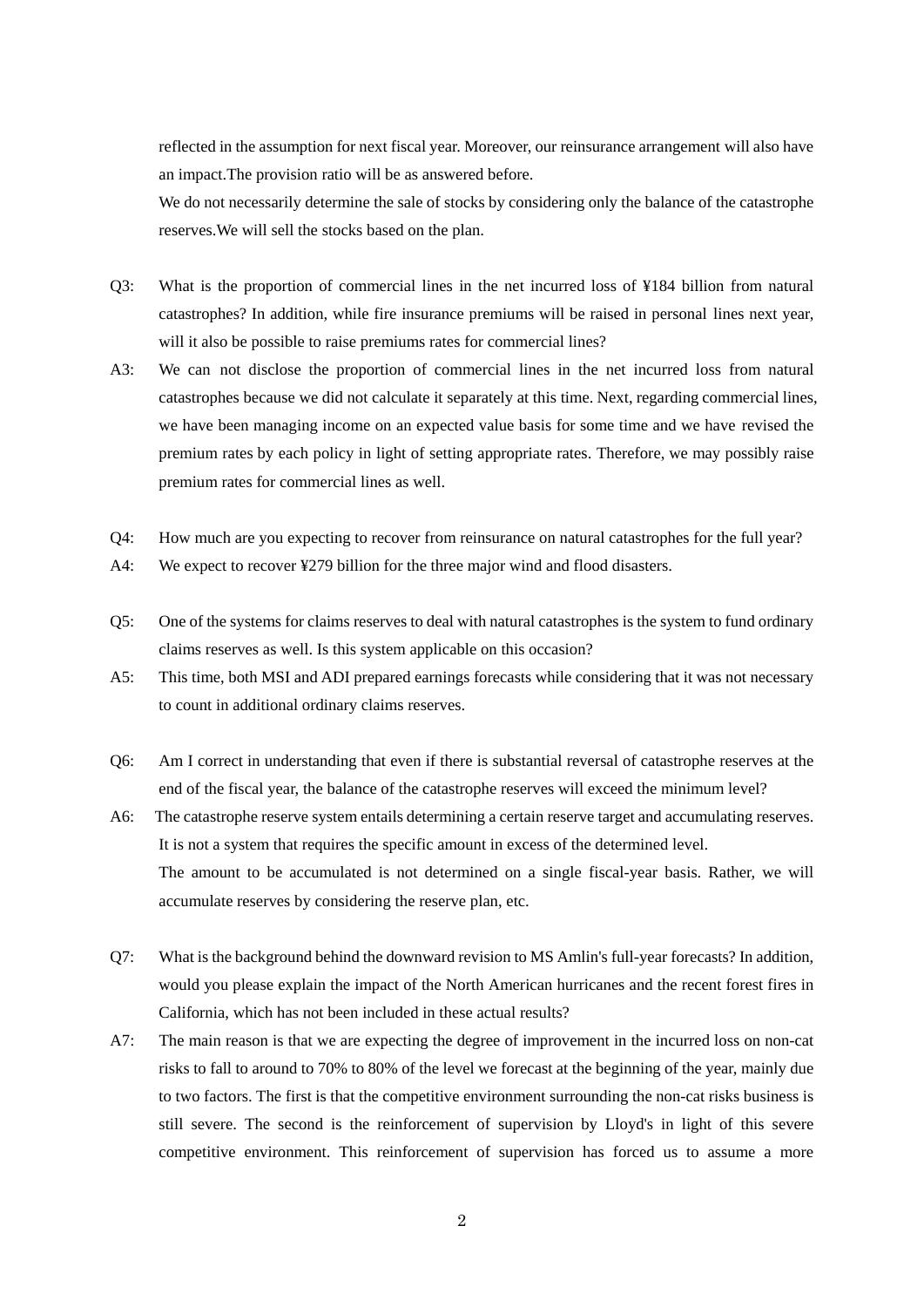reflected in the assumption for next fiscal year. Moreover, our reinsurance arrangement will also have an impact.The provision ratio will be as answered before.

We do not necessarily determine the sale of stocks by considering only the balance of the catastrophe reserves.We will sell the stocks based on the plan.

- Q3: What is the proportion of commercial lines in the net incurred loss of ¥184 billion from natural catastrophes? In addition, while fire insurance premiums will be raised in personal lines next year, will it also be possible to raise premiums rates for commercial lines?
- A3: We can not disclose the proportion of commercial lines in the net incurred loss from natural catastrophes because we did not calculate it separately at this time. Next, regarding commercial lines, we have been managing income on an expected value basis for some time and we have revised the premium rates by each policy in light of setting appropriate rates. Therefore, we may possibly raise premium rates for commercial lines as well.
- Q4: How much are you expecting to recover from reinsurance on natural catastrophes for the full year?
- A4: We expect to recover ¥279 billion for the three major wind and flood disasters.
- Q5: One of the systems for claims reserves to deal with natural catastrophes is the system to fund ordinary claims reserves as well. Is this system applicable on this occasion?
- A5: This time, both MSI and ADI prepared earnings forecasts while considering that it was not necessary to count in additional ordinary claims reserves.
- Q6: Am I correct in understanding that even if there is substantial reversal of catastrophe reserves at the end of the fiscal year, the balance of the catastrophe reserves will exceed the minimum level?
- A6: The catastrophe reserve system entails determining a certain reserve target and accumulating reserves. It is not a system that requires the specific amount in excess of the determined level. The amount to be accumulated is not determined on a single fiscal-year basis. Rather, we will accumulate reserves by considering the reserve plan, etc.
- Q7: What is the background behind the downward revision to MS Amlin's full-year forecasts? In addition, would you please explain the impact of the North American hurricanes and the recent forest fires in California, which has not been included in these actual results?
- A7: The main reason is that we are expecting the degree of improvement in the incurred loss on non-cat risks to fall to around to 70% to 80% of the level we forecast at the beginning of the year, mainly due to two factors. The first is that the competitive environment surrounding the non-cat risks business is still severe. The second is the reinforcement of supervision by Lloyd's in light of this severe competitive environment. This reinforcement of supervision has forced us to assume a more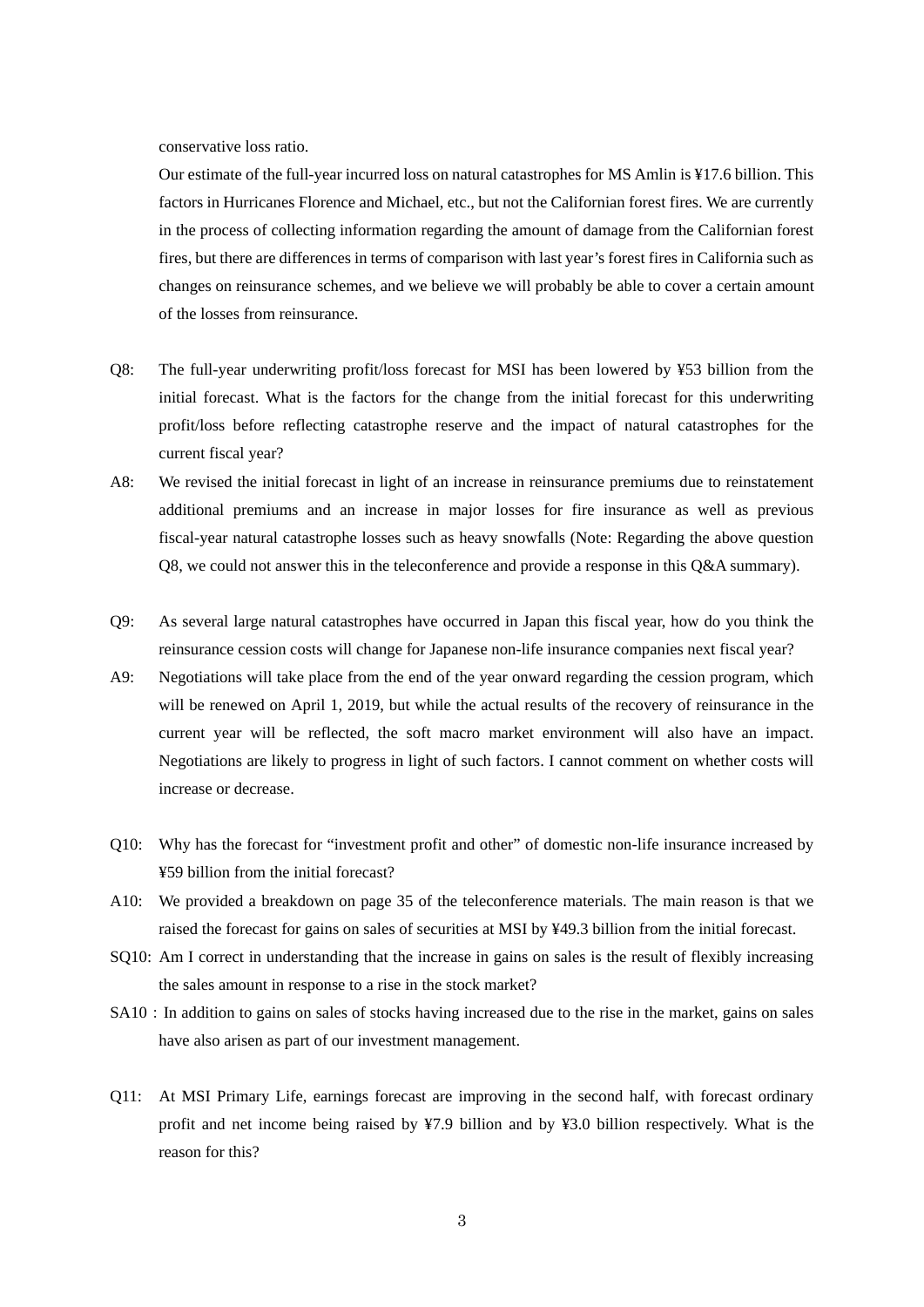conservative loss ratio.

Our estimate of the full-year incurred loss on natural catastrophes for MS Amlin is ¥17.6 billion. This factors in Hurricanes Florence and Michael, etc., but not the Californian forest fires. We are currently in the process of collecting information regarding the amount of damage from the Californian forest fires, but there are differences in terms of comparison with last year's forest fires in California such as changes on reinsurance schemes, and we believe we will probably be able to cover a certain amount of the losses from reinsurance.

- Q8: The full-year underwriting profit/loss forecast for MSI has been lowered by ¥53 billion from the initial forecast. What is the factors for the change from the initial forecast for this underwriting profit/loss before reflecting catastrophe reserve and the impact of natural catastrophes for the current fiscal year?
- A8: We revised the initial forecast in light of an increase in reinsurance premiums due to reinstatement additional premiums and an increase in major losses for fire insurance as well as previous fiscal-year natural catastrophe losses such as heavy snowfalls (Note: Regarding the above question Q8, we could not answer this in the teleconference and provide a response in this Q&A summary).
- Q9: As several large natural catastrophes have occurred in Japan this fiscal year, how do you think the reinsurance cession costs will change for Japanese non-life insurance companies next fiscal year?
- A9: Negotiations will take place from the end of the year onward regarding the cession program, which will be renewed on April 1, 2019, but while the actual results of the recovery of reinsurance in the current year will be reflected, the soft macro market environment will also have an impact. Negotiations are likely to progress in light of such factors. I cannot comment on whether costs will increase or decrease.
- Q10: Why has the forecast for "investment profit and other" of domestic non-life insurance increased by ¥59 billion from the initial forecast?
- A10: We provided a breakdown on page 35 of the teleconference materials. The main reason is that we raised the forecast for gains on sales of securities at MSI by ¥49.3 billion from the initial forecast.
- SQ10: Am I correct in understanding that the increase in gains on sales is the result of flexibly increasing the sales amount in response to a rise in the stock market?
- SA10: In addition to gains on sales of stocks having increased due to the rise in the market, gains on sales have also arisen as part of our investment management.
- Q11: At MSI Primary Life, earnings forecast are improving in the second half, with forecast ordinary profit and net income being raised by ¥7.9 billion and by ¥3.0 billion respectively. What is the reason for this?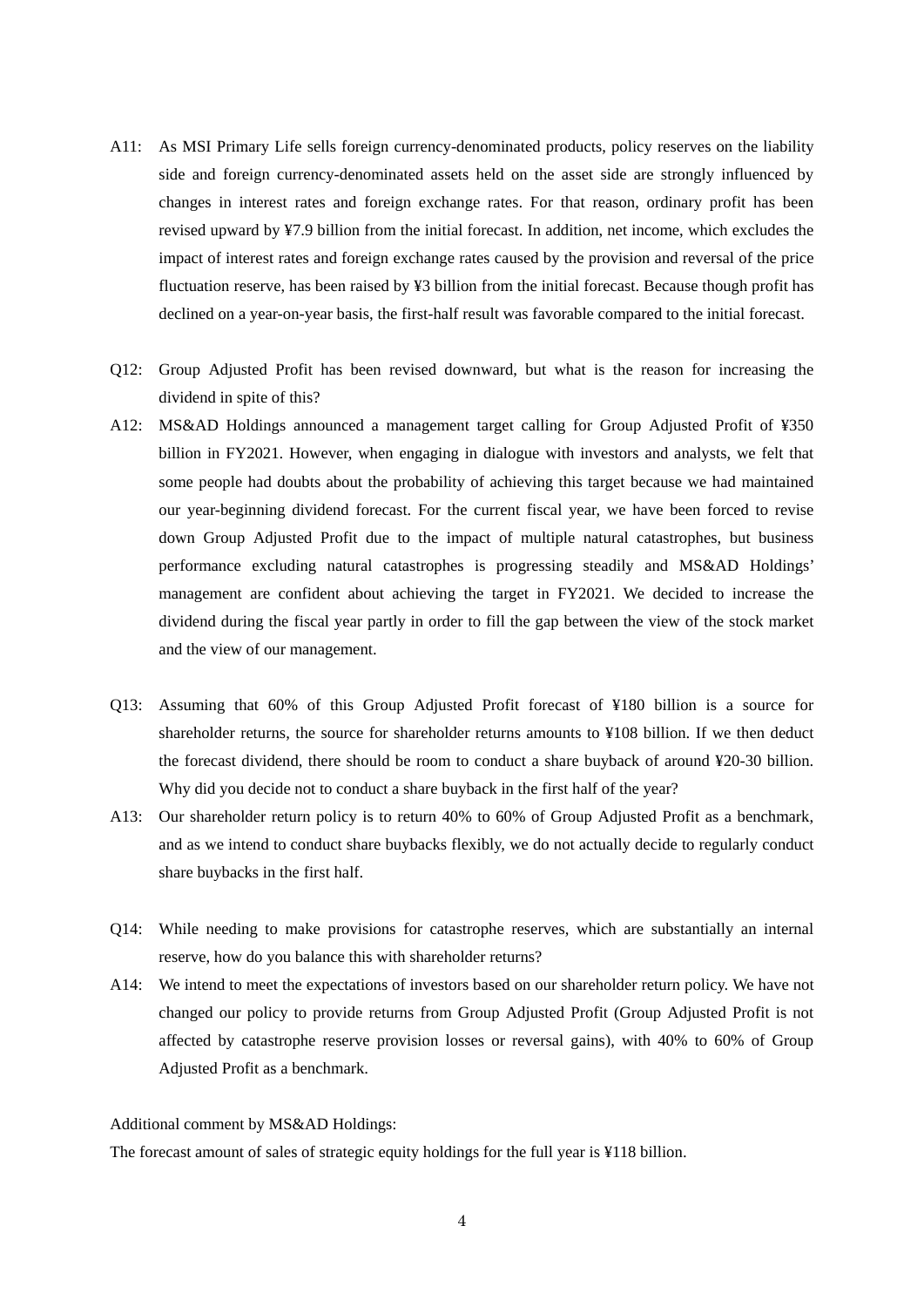- A11: As MSI Primary Life sells foreign currency-denominated products, policy reserves on the liability side and foreign currency-denominated assets held on the asset side are strongly influenced by changes in interest rates and foreign exchange rates. For that reason, ordinary profit has been revised upward by ¥7.9 billion from the initial forecast. In addition, net income, which excludes the impact of interest rates and foreign exchange rates caused by the provision and reversal of the price fluctuation reserve, has been raised by ¥3 billion from the initial forecast. Because though profit has declined on a year-on-year basis, the first-half result was favorable compared to the initial forecast.
- Q12: Group Adjusted Profit has been revised downward, but what is the reason for increasing the dividend in spite of this?
- A12: MS&AD Holdings announced a management target calling for Group Adjusted Profit of ¥350 billion in FY2021. However, when engaging in dialogue with investors and analysts, we felt that some people had doubts about the probability of achieving this target because we had maintained our year-beginning dividend forecast. For the current fiscal year, we have been forced to revise down Group Adjusted Profit due to the impact of multiple natural catastrophes, but business performance excluding natural catastrophes is progressing steadily and MS&AD Holdings' management are confident about achieving the target in FY2021. We decided to increase the dividend during the fiscal year partly in order to fill the gap between the view of the stock market and the view of our management.
- Q13: Assuming that 60% of this Group Adjusted Profit forecast of ¥180 billion is a source for shareholder returns, the source for shareholder returns amounts to ¥108 billion. If we then deduct the forecast dividend, there should be room to conduct a share buyback of around ¥20-30 billion. Why did you decide not to conduct a share buyback in the first half of the year?
- A13: Our shareholder return policy is to return 40% to 60% of Group Adjusted Profit as a benchmark, and as we intend to conduct share buybacks flexibly, we do not actually decide to regularly conduct share buybacks in the first half.
- Q14: While needing to make provisions for catastrophe reserves, which are substantially an internal reserve, how do you balance this with shareholder returns?
- A14: We intend to meet the expectations of investors based on our shareholder return policy. We have not changed our policy to provide returns from Group Adjusted Profit (Group Adjusted Profit is not affected by catastrophe reserve provision losses or reversal gains), with 40% to 60% of Group Adjusted Profit as a benchmark.

## Additional comment by MS&AD Holdings:

The forecast amount of sales of strategic equity holdings for the full year is ¥118 billion.